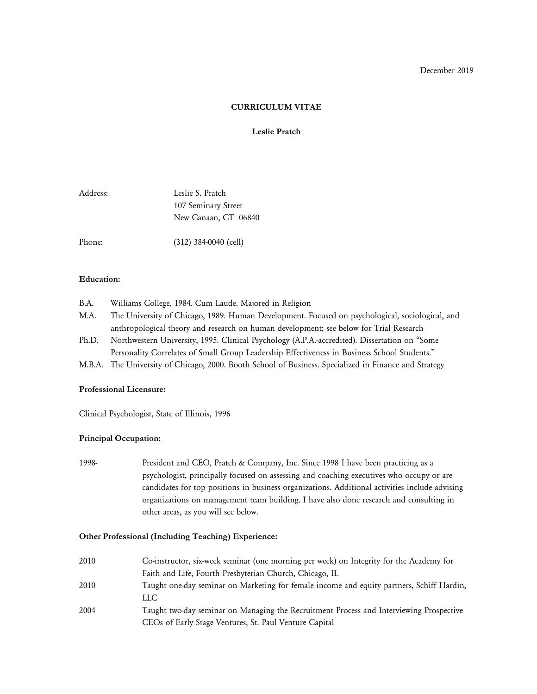## **CURRICULUM VITAE**

### **Leslie Pratch**

| Address: | Leslie S. Pratch     |  |  |
|----------|----------------------|--|--|
|          | 107 Seminary Street  |  |  |
|          | New Canaan, CT 06840 |  |  |
|          |                      |  |  |

Phone: (312) 384-0040 (cell)

### **Education:**

- B.A. Williams College, 1984. Cum Laude. Majored in Religion
- M.A. The University of Chicago, 1989. Human Development. Focused on psychological, sociological, and anthropological theory and research on human development; see below for Trial Research
- Ph.D. Northwestern University, 1995. Clinical Psychology (A.P.A.-accredited). Dissertation on "Some Personality Correlates of Small Group Leadership Effectiveness in Business School Students."
- M.B.A. The University of Chicago, 2000. Booth School of Business. Specialized in Finance and Strategy

## **Professional Licensure:**

Clinical Psychologist, State of Illinois, 1996

# **Principal Occupation:**

1998- President and CEO, Pratch & Company, Inc. Since 1998 I have been practicing as a psychologist, principally focused on assessing and coaching executives who occupy or are candidates for top positions in business organizations. Additional activities include advising organizations on management team building. I have also done research and consulting in other areas, as you will see below.

### **Other Professional (Including Teaching) Experience:**

| 2010 | Co-instructor, six-week seminar (one morning per week) on Integrity for the Academy for   |
|------|-------------------------------------------------------------------------------------------|
|      | Faith and Life, Fourth Presbyterian Church, Chicago, IL                                   |
| 2010 | Taught one-day seminar on Marketing for female income and equity partners, Schiff Hardin, |
|      | LLC.                                                                                      |
| 2004 | Taught two-day seminar on Managing the Recruitment Process and Interviewing Prospective   |
|      | CEOs of Early Stage Ventures, St. Paul Venture Capital                                    |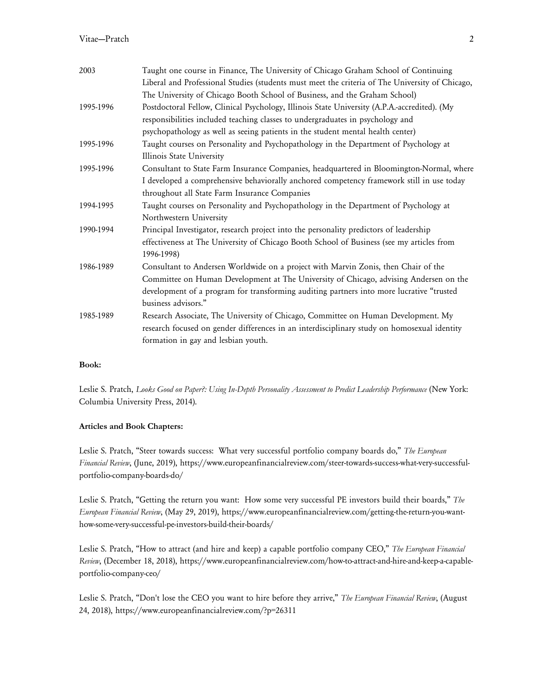# Vitae—Pratch 2

| 2003      | Taught one course in Finance, The University of Chicago Graham School of Continuing             |
|-----------|-------------------------------------------------------------------------------------------------|
|           | Liberal and Professional Studies (students must meet the criteria of The University of Chicago, |
|           | The University of Chicago Booth School of Business, and the Graham School)                      |
| 1995-1996 | Postdoctoral Fellow, Clinical Psychology, Illinois State University (A.P.A.-accredited). (My    |
|           | responsibilities included teaching classes to undergraduates in psychology and                  |
|           | psychopathology as well as seeing patients in the student mental health center)                 |
| 1995-1996 | Taught courses on Personality and Psychopathology in the Department of Psychology at            |
|           | Illinois State University                                                                       |
| 1995-1996 | Consultant to State Farm Insurance Companies, headquartered in Bloomington-Normal, where        |
|           | I developed a comprehensive behaviorally anchored competency framework still in use today       |
|           | throughout all State Farm Insurance Companies                                                   |
| 1994-1995 | Taught courses on Personality and Psychopathology in the Department of Psychology at            |
|           | Northwestern University                                                                         |
| 1990-1994 | Principal Investigator, research project into the personality predictors of leadership          |
|           | effectiveness at The University of Chicago Booth School of Business (see my articles from       |
|           | 1996-1998)                                                                                      |
| 1986-1989 | Consultant to Andersen Worldwide on a project with Marvin Zonis, then Chair of the              |
|           | Committee on Human Development at The University of Chicago, advising Andersen on the           |
|           | development of a program for transforming auditing partners into more lucrative "trusted        |
|           | business advisors."                                                                             |
| 1985-1989 | Research Associate, The University of Chicago, Committee on Human Development. My               |
|           | research focused on gender differences in an interdisciplinary study on homosexual identity     |
|           | formation in gay and lesbian youth.                                                             |
|           |                                                                                                 |

### **Book:**

Leslie S. Pratch, *Looks Good on Paper?: Using In-Depth Personality Assessment to Predict Leadership Performance* (New York: Columbia University Press, 2014).

### **Articles and Book Chapters:**

Leslie S. Pratch, "Steer towards success: What very successful portfolio company boards do," *The European Financial Review*, (June, 2019), https://www.europeanfinancialreview.com/steer-towards-success-what-very-successfulportfolio-company-boards-do/

Leslie S. Pratch, "Getting the return you want: How some very successful PE investors build their boards," *The European Financial Review*, (May 29, 2019), https://www.europeanfinancialreview.com/getting-the-return-you-wanthow-some-very-successful-pe-investors-build-their-boards/

Leslie S. Pratch, "How to attract (and hire and keep) a capable portfolio company CEO," *The European Financial Review*, (December 18, 2018), https://www.europeanfinancialreview.com/how-to-attract-and-hire-and-keep-a-capableportfolio-company-ceo/

Leslie S. Pratch, "Don't lose the CEO you want to hire before they arrive," *The European Financial Review*, (August 24, 2018), https://www.europeanfinancialreview.com/?p=26311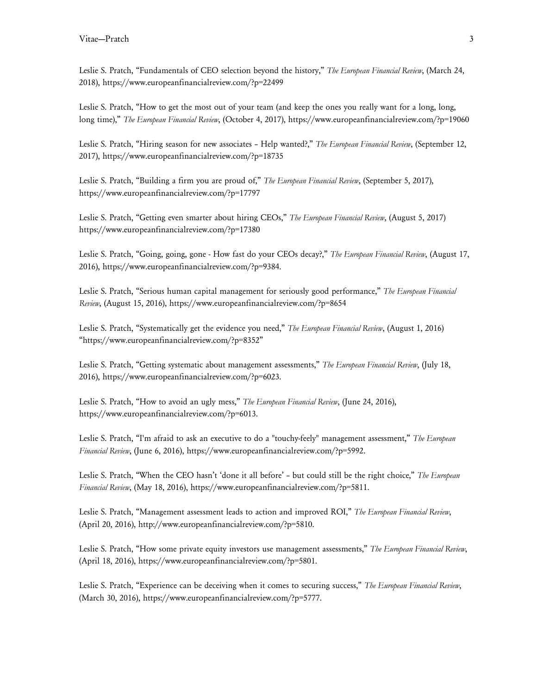Leslie S. Pratch, "Fundamentals of CEO selection beyond the history," *The European Financial Review*, (March 24, 2018), https://www.europeanfinancialreview.com/?p=22499

Leslie S. Pratch, "How to get the most out of your team (and keep the ones you really want for a long, long, long time)," *The European Financial Review*, (October 4, 2017), https://www.europeanfinancialreview.com/?p=19060

Leslie S. Pratch, "Hiring season for new associates – Help wanted?," *The European Financial Review*, (September 12, 2017), https://www.europeanfinancialreview.com/?p=18735

Leslie S. Pratch, "Building a firm you are proud of," *The European Financial Review*, (September 5, 2017), https://www.europeanfinancialreview.com/?p=17797

Leslie S. Pratch, "Getting even smarter about hiring CEOs," *The European Financial Review*, (August 5, 2017) https://www.europeanfinancialreview.com/?p=17380

Leslie S. Pratch, "Going, going, gone - How fast do your CEOs decay?," *The European Financial Review*, (August 17, 2016), https://www.europeanfinancialreview.com/?p=9384.

Leslie S. Pratch, "Serious human capital management for seriously good performance," *The European Financial Review*, (August 15, 2016), https://www.europeanfinancialreview.com/?p=8654

Leslie S. Pratch, "Systematically get the evidence you need," *The European Financial Review*, (August 1, 2016) "https://www.europeanfinancialreview.com/?p=8352"

Leslie S. Pratch, "Getting systematic about management assessments," *The European Financial Review*, (July 18, 2016), https://www.europeanfinancialreview.com/?p=6023.

Leslie S. Pratch, "How to avoid an ugly mess," *The European Financial Review*, (June 24, 2016), https://www.europeanfinancialreview.com/?p=6013.

Leslie S. Pratch, "I'm afraid to ask an executive to do a "touchy-feely" management assessment," *The European Financial Review*, (June 6, 2016), https://www.europeanfinancialreview.com/?p=5992.

Leslie S. Pratch, "When the CEO hasn't 'done it all before' – but could still be the right choice," *The European Financial Review*, (May 18, 2016), https://www.europeanfinancialreview.com/?p=5811.

Leslie S. Pratch, "Management assessment leads to action and improved ROI," *The European Financial Review*, (April 20, 2016), http://www.europeanfinancialreview.com/?p=5810.

Leslie S. Pratch, "How some private equity investors use management assessments," *The European Financial Review*, (April 18, 2016), https://www.europeanfinancialreview.com/?p=5801.

Leslie S. Pratch, "Experience can be deceiving when it comes to securing success," *The European Financial Review*, (March 30, 2016), https://www.europeanfinancialreview.com/?p=5777.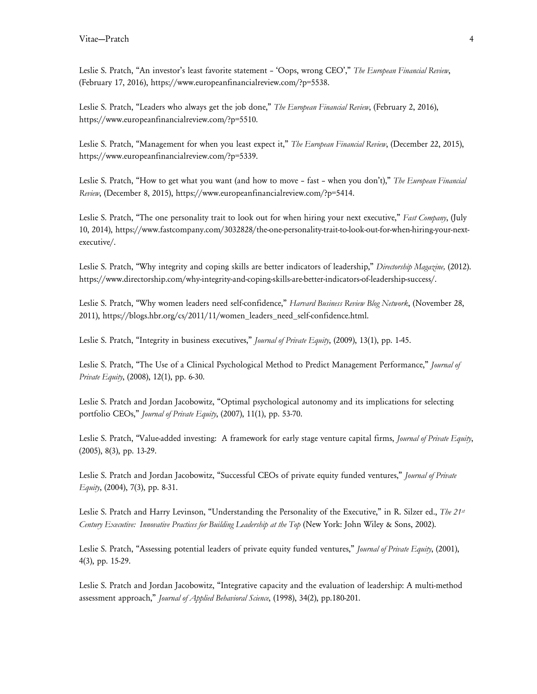Leslie S. Pratch, "An investor's least favorite statement – 'Oops, wrong CEO'," *The European Financial Review*, (February 17, 2016), https://www.europeanfinancialreview.com/?p=5538.

Leslie S. Pratch, "Leaders who always get the job done," *The European Financial Review*, (February 2, 2016), https://www.europeanfinancialreview.com/?p=5510.

Leslie S. Pratch, "Management for when you least expect it," *The European Financial Review*, (December 22, 2015), https://www.europeanfinancialreview.com/?p=5339.

Leslie S. Pratch, "How to get what you want (and how to move – fast – when you don't)," *The European Financial Review*, (December 8, 2015), https://www.europeanfinancialreview.com/?p=5414.

Leslie S. Pratch, "The one personality trait to look out for when hiring your next executive," *Fast Company*, (July 10, 2014), https://www.fastcompany.com/3032828/the-one-personality-trait-to-look-out-for-when-hiring-your-nextexecutive/.

Leslie S. Pratch, "Why integrity and coping skills are better indicators of leadership," *Directorship Magazine,* (2012). https://www.directorship.com/why-integrity-and-coping-skills-are-better-indicators-of-leadership-success/.

Leslie S. Pratch, "Why women leaders need self-confidence," *Harvard Business Review Blog Network*, (November 28, 2011), https://blogs.hbr.org/cs/2011/11/women\_leaders\_need\_self-confidence.html.

Leslie S. Pratch, "Integrity in business executives," *Journal of Private Equity*, (2009), 13(1), pp. 1-45.

Leslie S. Pratch, "The Use of a Clinical Psychological Method to Predict Management Performance," *Journal of Private Equity*, (2008), 12(1), pp. 6-30.

Leslie S. Pratch and Jordan Jacobowitz, "Optimal psychological autonomy and its implications for selecting portfolio CEOs," *Journal of Private Equity*, (2007), 11(1), pp. 53-70.

Leslie S. Pratch, "Value-added investing: A framework for early stage venture capital firms, *Journal of Private Equity*, (2005), 8(3), pp. 13-29.

Leslie S. Pratch and Jordan Jacobowitz, "Successful CEOs of private equity funded ventures," *Journal of Private Equity*, (2004), 7(3), pp. 8-31.

Leslie S. Pratch and Harry Levinson, "Understanding the Personality of the Executive," in R. Silzer ed., *The 21st Century Executive: Innovative Practices for Building Leadership at the Top* (New York: John Wiley & Sons, 2002).

Leslie S. Pratch, "Assessing potential leaders of private equity funded ventures," *Journal of Private Equity*, (2001), 4(3), pp. 15-29.

Leslie S. Pratch and Jordan Jacobowitz, "Integrative capacity and the evaluation of leadership: A multi-method assessment approach," *Journal of Applied Behavioral Science*, (1998), 34(2), pp.180-201.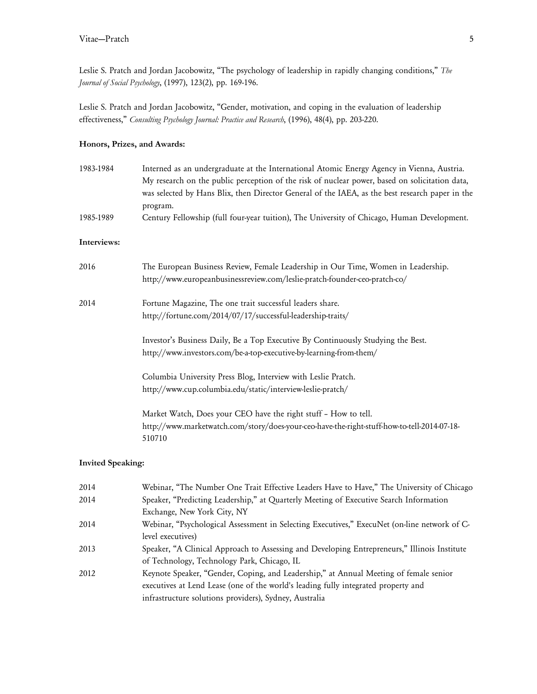Leslie S. Pratch and Jordan Jacobowitz, "The psychology of leadership in rapidly changing conditions," *The Journal of Social Psychology*, (1997), 123(2), pp. 169-196.

Leslie S. Pratch and Jordan Jacobowitz, "Gender, motivation, and coping in the evaluation of leadership effectiveness," *Consulting Psychology Journal: Practice and Research*, (1996), 48(4), pp. 203-220.

# **Honors, Prizes, and Awards:**

| 1983-1984   | Interned as an undergraduate at the International Atomic Energy Agency in Vienna, Austria.<br>My research on the public perception of the risk of nuclear power, based on solicitation data,<br>was selected by Hans Blix, then Director General of the IAEA, as the best research paper in the<br>program.<br>Century Fellowship (full four-year tuition), The University of Chicago, Human Development. |  |  |
|-------------|-----------------------------------------------------------------------------------------------------------------------------------------------------------------------------------------------------------------------------------------------------------------------------------------------------------------------------------------------------------------------------------------------------------|--|--|
| 1985-1989   |                                                                                                                                                                                                                                                                                                                                                                                                           |  |  |
| Interviews: |                                                                                                                                                                                                                                                                                                                                                                                                           |  |  |
| 2016        | The European Business Review, Female Leadership in Our Time, Women in Leadership.<br>http://www.europeanbusinessreview.com/leslie-pratch-founder-ceo-pratch-co/                                                                                                                                                                                                                                           |  |  |
| 2014        | Fortune Magazine, The one trait successful leaders share.<br>http://fortune.com/2014/07/17/successful-leadership-traits/                                                                                                                                                                                                                                                                                  |  |  |
|             | Investor's Business Daily, Be a Top Executive By Continuously Studying the Best.<br>http://www.investors.com/be-a-top-executive-by-learning-from-them/                                                                                                                                                                                                                                                    |  |  |
|             | Columbia University Press Blog, Interview with Leslie Pratch.<br>http://www.cup.columbia.edu/static/interview-leslie-pratch/                                                                                                                                                                                                                                                                              |  |  |
|             | Market Watch, Does your CEO have the right stuff - How to tell.<br>http://www.marketwatch.com/story/does-your-ceo-have-the-right-stuff-how-to-tell-2014-07-18-<br>510710                                                                                                                                                                                                                                  |  |  |
|             |                                                                                                                                                                                                                                                                                                                                                                                                           |  |  |

# **Invited Speaking:**

| 2014 | Webinar, "The Number One Trait Effective Leaders Have to Have," The University of Chicago    |
|------|----------------------------------------------------------------------------------------------|
| 2014 | Speaker, "Predicting Leadership," at Quarterly Meeting of Executive Search Information       |
|      | Exchange, New York City, NY                                                                  |
| 2014 | Webinar, "Psychological Assessment in Selecting Executives," ExecuNet (on-line network of C- |
|      | level executives)                                                                            |
| 2013 | Speaker, "A Clinical Approach to Assessing and Developing Entrepreneurs," Illinois Institute |
|      | of Technology, Technology Park, Chicago, IL                                                  |
| 2012 | Keynote Speaker, "Gender, Coping, and Leadership," at Annual Meeting of female senior        |
|      | executives at Lend Lease (one of the world's leading fully integrated property and           |
|      | infrastructure solutions providers), Sydney, Australia                                       |